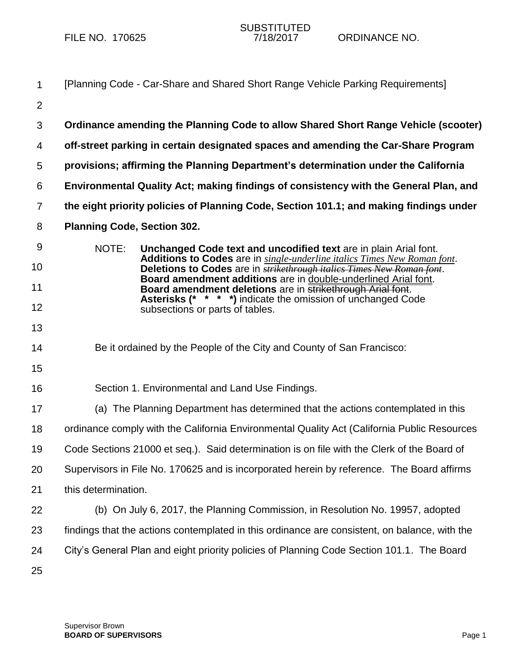| $\mathbf{1}$   | [Planning Code - Car-Share and Shared Short Range Vehicle Parking Requirements]                                                                           |  |
|----------------|-----------------------------------------------------------------------------------------------------------------------------------------------------------|--|
| $\overline{2}$ |                                                                                                                                                           |  |
| 3              | Ordinance amending the Planning Code to allow Shared Short Range Vehicle (scooter)                                                                        |  |
| 4              | off-street parking in certain designated spaces and amending the Car-Share Program                                                                        |  |
| 5              | provisions; affirming the Planning Department's determination under the California                                                                        |  |
| 6              | Environmental Quality Act; making findings of consistency with the General Plan, and                                                                      |  |
| $\overline{7}$ | the eight priority policies of Planning Code, Section 101.1; and making findings under                                                                    |  |
| 8              | <b>Planning Code, Section 302.</b>                                                                                                                        |  |
| 9              | NOTE:<br>Unchanged Code text and uncodified text are in plain Arial font.                                                                                 |  |
| 10             | Additions to Codes are in single-underline italics Times New Roman font.<br>Deletions to Codes are in <b>strikethrough italics Times New Roman font</b> . |  |
| 11             | Board amendment additions are in double-underlined Arial font.<br>Board amendment deletions are in strikethrough Arial font.                              |  |
| 12             | <b>Asterisks (* * * *)</b> indicate the omission of unchanged Code<br>subsections or parts of tables.                                                     |  |
| 13             |                                                                                                                                                           |  |
| 14             | Be it ordained by the People of the City and County of San Francisco:                                                                                     |  |
| 15             |                                                                                                                                                           |  |
| 16             | Section 1. Environmental and Land Use Findings.                                                                                                           |  |
| 17             | (a) The Planning Department has determined that the actions contemplated in this                                                                          |  |
| 18             | ordinance comply with the California Environmental Quality Act (California Public Resources                                                               |  |
| 19             | Code Sections 21000 et seq.). Said determination is on file with the Clerk of the Board of                                                                |  |
| 20             | Supervisors in File No. 170625 and is incorporated herein by reference. The Board affirms                                                                 |  |
| 21             | this determination.                                                                                                                                       |  |
| 22             | (b) On July 6, 2017, the Planning Commission, in Resolution No. 19957, adopted                                                                            |  |
| 23             | findings that the actions contemplated in this ordinance are consistent, on balance, with the                                                             |  |
| 24             | City's General Plan and eight priority policies of Planning Code Section 101.1. The Board                                                                 |  |
| 25             |                                                                                                                                                           |  |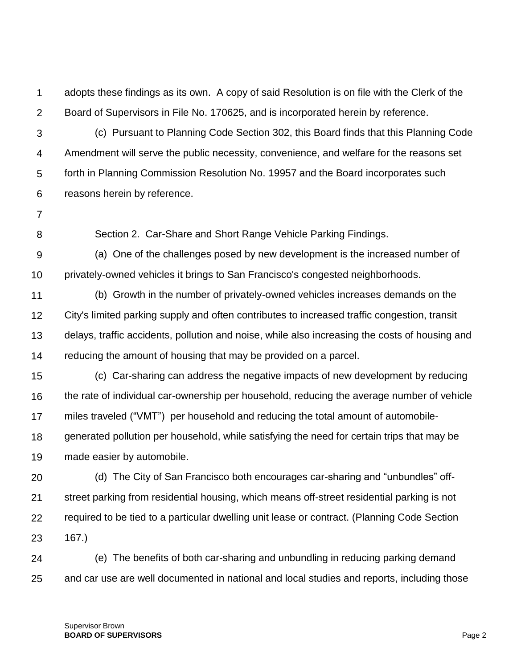1  $\mathcal{P}$ adopts these findings as its own. A copy of said Resolution is on file with the Clerk of the Board of Supervisors in File No. 170625, and is incorporated herein by reference.

3 4 5 6 (c) Pursuant to Planning Code Section 302, this Board finds that this Planning Code Amendment will serve the public necessity, convenience, and welfare for the reasons set forth in Planning Commission Resolution No. 19957 and the Board incorporates such reasons herein by reference.

7

8

Section 2. Car-Share and Short Range Vehicle Parking Findings.

9 10 (a) One of the challenges posed by new development is the increased number of privately-owned vehicles it brings to San Francisco's congested neighborhoods.

11 12 13 14 (b) Growth in the number of privately-owned vehicles increases demands on the City's limited parking supply and often contributes to increased traffic congestion, transit delays, traffic accidents, pollution and noise, while also increasing the costs of housing and reducing the amount of housing that may be provided on a parcel.

15 16 17 18 19 (c) Car-sharing can address the negative impacts of new development by reducing the rate of individual car-ownership per household, reducing the average number of vehicle miles traveled ("VMT") per household and reducing the total amount of automobilegenerated pollution per household, while satisfying the need for certain trips that may be made easier by automobile.

20 21 22 23 (d) The City of San Francisco both encourages car-sharing and "unbundles" offstreet parking from residential housing, which means off-street residential parking is not required to be tied to a particular dwelling unit lease or contract. (Planning Code Section 167.)

24 25 (e) The benefits of both car-sharing and unbundling in reducing parking demand and car use are well documented in national and local studies and reports, including those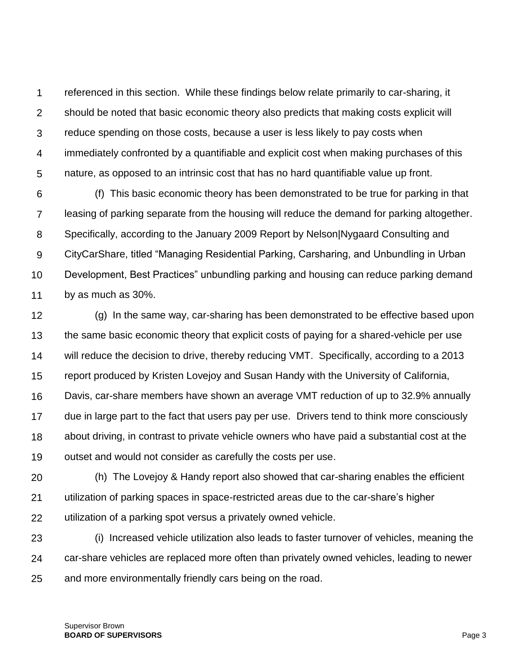1  $\mathcal{P}$ 3 4 5 referenced in this section. While these findings below relate primarily to car-sharing, it should be noted that basic economic theory also predicts that making costs explicit will reduce spending on those costs, because a user is less likely to pay costs when immediately confronted by a quantifiable and explicit cost when making purchases of this nature, as opposed to an intrinsic cost that has no hard quantifiable value up front.

6 7 8 9 10 11 (f) This basic economic theory has been demonstrated to be true for parking in that leasing of parking separate from the housing will reduce the demand for parking altogether. Specifically, according to the January 2009 Report by Nelson|Nygaard Consulting and CityCarShare, titled "Managing Residential Parking, Carsharing, and Unbundling in Urban Development, Best Practices" unbundling parking and housing can reduce parking demand by as much as 30%.

12 13 14 15 16 17 18 19 (g) In the same way, car-sharing has been demonstrated to be effective based upon the same basic economic theory that explicit costs of paying for a shared-vehicle per use will reduce the decision to drive, thereby reducing VMT. Specifically, according to a 2013 report produced by Kristen Lovejoy and Susan Handy with the University of California, Davis, car-share members have shown an average VMT reduction of up to 32.9% annually due in large part to the fact that users pay per use. Drivers tend to think more consciously about driving, in contrast to private vehicle owners who have paid a substantial cost at the outset and would not consider as carefully the costs per use.

20 21 22 (h) The Lovejoy & Handy report also showed that car-sharing enables the efficient utilization of parking spaces in space-restricted areas due to the car-share's higher utilization of a parking spot versus a privately owned vehicle.

23 24 25 (i) Increased vehicle utilization also leads to faster turnover of vehicles, meaning the car-share vehicles are replaced more often than privately owned vehicles, leading to newer and more environmentally friendly cars being on the road.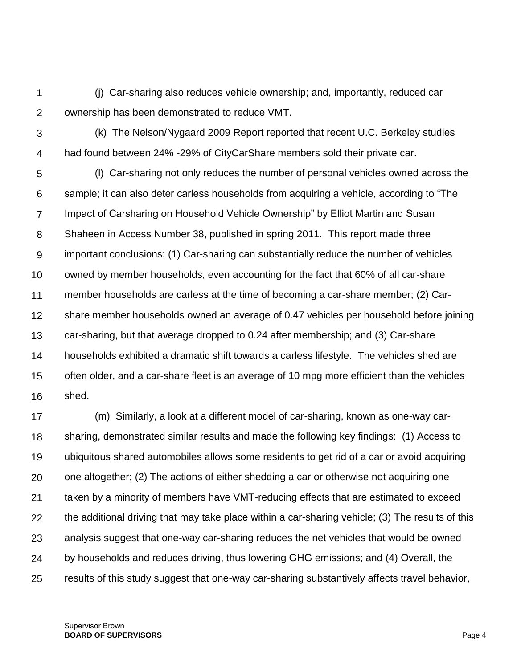1  $\mathcal{P}$ (j) Car-sharing also reduces vehicle ownership; and, importantly, reduced car ownership has been demonstrated to reduce VMT.

3 4 (k) The Nelson/Nygaard 2009 Report reported that recent U.C. Berkeley studies had found between 24% -29% of CityCarShare members sold their private car.

5 6 7 8 9 10 11 12 13 14 15 16 (l) Car-sharing not only reduces the number of personal vehicles owned across the sample; it can also deter carless households from acquiring a vehicle, according to "The Impact of Carsharing on Household Vehicle Ownership" by Elliot Martin and Susan Shaheen in Access Number 38, published in spring 2011. This report made three important conclusions: (1) Car-sharing can substantially reduce the number of vehicles owned by member households, even accounting for the fact that 60% of all car-share member households are carless at the time of becoming a car-share member; (2) Carshare member households owned an average of 0.47 vehicles per household before joining car-sharing, but that average dropped to 0.24 after membership; and (3) Car-share households exhibited a dramatic shift towards a carless lifestyle. The vehicles shed are often older, and a car-share fleet is an average of 10 mpg more efficient than the vehicles shed.

17 18 19 20 21 22 23 24 25 (m) Similarly, a look at a different model of car-sharing, known as one-way carsharing, demonstrated similar results and made the following key findings: (1) Access to ubiquitous shared automobiles allows some residents to get rid of a car or avoid acquiring one altogether; (2) The actions of either shedding a car or otherwise not acquiring one taken by a minority of members have VMT-reducing effects that are estimated to exceed the additional driving that may take place within a car-sharing vehicle; (3) The results of this analysis suggest that one-way car-sharing reduces the net vehicles that would be owned by households and reduces driving, thus lowering GHG emissions; and (4) Overall, the results of this study suggest that one-way car-sharing substantively affects travel behavior,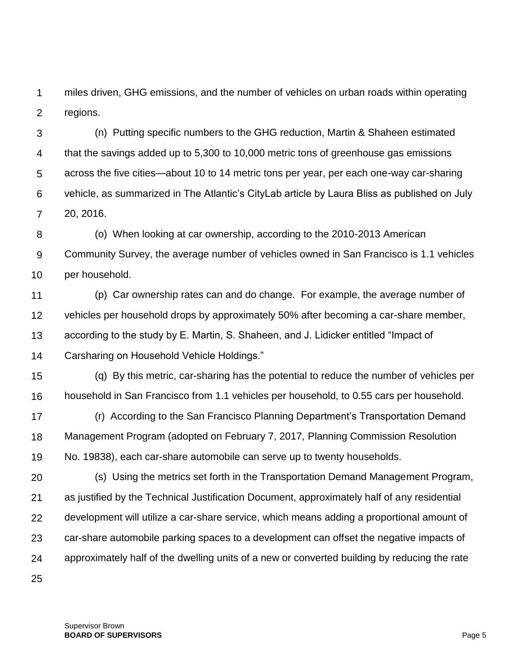1  $\mathcal{P}$ miles driven, GHG emissions, and the number of vehicles on urban roads within operating regions.

3 4 5 6 7 (n) Putting specific numbers to the GHG reduction, Martin & Shaheen estimated that the savings added up to 5,300 to 10,000 metric tons of greenhouse gas emissions across the five cities—about 10 to 14 metric tons per year, per each one-way car-sharing vehicle, as summarized in The Atlantic's CityLab article by Laura Bliss as published on July 20, 2016.

8 9 10 (o) When looking at car ownership, according to the 2010-2013 American Community Survey, the average number of vehicles owned in San Francisco is 1.1 vehicles per household.

11 12 13 14 (p) Car ownership rates can and do change. For example, the average number of vehicles per household drops by approximately 50% after becoming a car-share member, according to the study by E. Martin, S. Shaheen, and J. Lidicker entitled "Impact of Carsharing on Household Vehicle Holdings."

15 16 (q) By this metric, car-sharing has the potential to reduce the number of vehicles per household in San Francisco from 1.1 vehicles per household, to 0.55 cars per household.

17 18 19 (r) According to the San Francisco Planning Department's Transportation Demand Management Program (adopted on February 7, 2017, Planning Commission Resolution No. 19838), each car-share automobile can serve up to twenty households.

20 21 22 23 24 (s) Using the metrics set forth in the Transportation Demand Management Program, as justified by the Technical Justification Document, approximately half of any residential development will utilize a car-share service, which means adding a proportional amount of car-share automobile parking spaces to a development can offset the negative impacts of approximately half of the dwelling units of a new or converted building by reducing the rate

25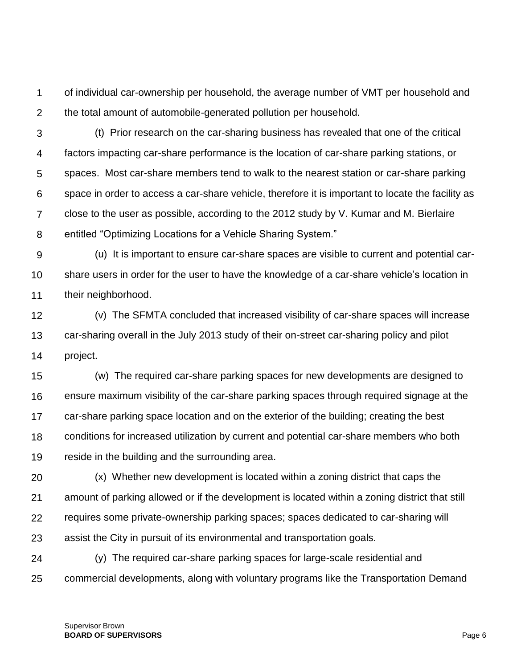1  $\mathcal{P}$ of individual car-ownership per household, the average number of VMT per household and the total amount of automobile-generated pollution per household.

3 4 5 6 7 8 (t) Prior research on the car-sharing business has revealed that one of the critical factors impacting car-share performance is the location of car-share parking stations, or spaces. Most car-share members tend to walk to the nearest station or car-share parking space in order to access a car-share vehicle, therefore it is important to locate the facility as close to the user as possible, according to the 2012 study by V. Kumar and M. Bierlaire entitled "Optimizing Locations for a Vehicle Sharing System."

9 10 11 (u) It is important to ensure car-share spaces are visible to current and potential carshare users in order for the user to have the knowledge of a car-share vehicle's location in their neighborhood.

12 13 14 (v) The SFMTA concluded that increased visibility of car-share spaces will increase car-sharing overall in the July 2013 study of their on-street car-sharing policy and pilot project.

15 16 17 18 19 (w) The required car-share parking spaces for new developments are designed to ensure maximum visibility of the car-share parking spaces through required signage at the car-share parking space location and on the exterior of the building; creating the best conditions for increased utilization by current and potential car-share members who both reside in the building and the surrounding area.

20 21 22 23 (x) Whether new development is located within a zoning district that caps the amount of parking allowed or if the development is located within a zoning district that still requires some private-ownership parking spaces; spaces dedicated to car-sharing will assist the City in pursuit of its environmental and transportation goals.

24 25 (y) The required car-share parking spaces for large-scale residential and commercial developments, along with voluntary programs like the Transportation Demand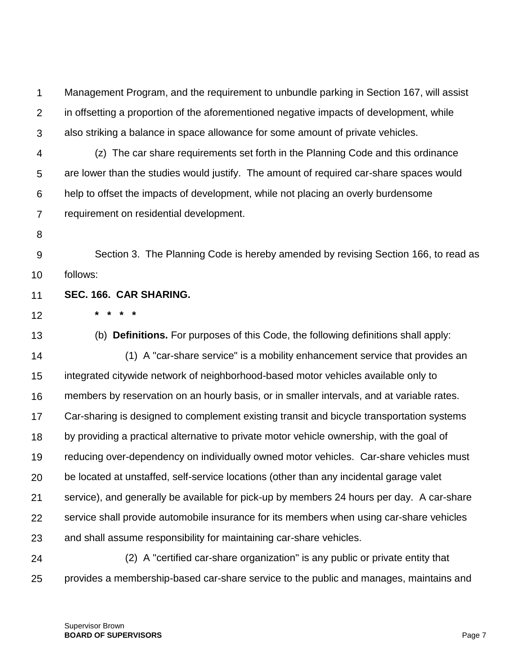1  $\mathcal{P}$ 3 Management Program, and the requirement to unbundle parking in Section 167, will assist in offsetting a proportion of the aforementioned negative impacts of development, while also striking a balance in space allowance for some amount of private vehicles.

- 4 5 6 7 (z) The car share requirements set forth in the Planning Code and this ordinance are lower than the studies would justify. The amount of required car-share spaces would help to offset the impacts of development, while not placing an overly burdensome requirement on residential development.
- 8

9 10 Section 3. The Planning Code is hereby amended by revising Section 166, to read as follows:

- 11 **SEC. 166. CAR SHARING.**
- 12

**\* \* \* \***

13 14 15 16 17 18 19 20 21 22 23 24 (b) **Definitions.** For purposes of this Code, the following definitions shall apply: (1) A "car-share service" is a mobility enhancement service that provides an integrated citywide network of neighborhood-based motor vehicles available only to members by reservation on an hourly basis, or in smaller intervals, and at variable rates. Car-sharing is designed to complement existing transit and bicycle transportation systems by providing a practical alternative to private motor vehicle ownership, with the goal of reducing over-dependency on individually owned motor vehicles. Car-share vehicles must be located at unstaffed, self-service locations (other than any incidental garage valet service), and generally be available for pick-up by members 24 hours per day. A car-share service shall provide automobile insurance for its members when using car-share vehicles and shall assume responsibility for maintaining car-share vehicles. (2) A "certified car-share organization" is any public or private entity that

25 provides a membership-based car-share service to the public and manages, maintains and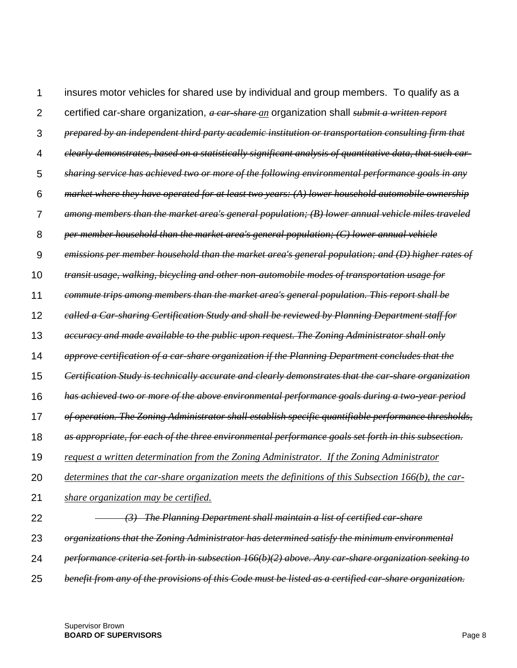1  $\mathfrak{p}$ 3 4 5 6 7 8 9 10 11 12 13 14 15 16 17 18 19 20 21 22 23 24 25 insures motor vehicles for shared use by individual and group members. To qualify as a certified car-share organization, *a car-share an* organization shall *submit a written report prepared by an independent third party academic institution or transportation consulting firm that clearly demonstrates, based on a statistically significant analysis of quantitative data, that such carsharing service has achieved two or more of the following environmental performance goals in any market where they have operated for at least two years: (A) lower household automobile ownership among members than the market area's general population; (B) lower annual vehicle miles traveled per member household than the market area's general population; (C) lower annual vehicle emissions per member household than the market area's general population; and (D) higher rates of transit usage, walking, bicycling and other non-automobile modes of transportation usage for commute trips among members than the market area's general population. This report shall be called a Car-sharing Certification Study and shall be reviewed by Planning Department staff for accuracy and made available to the public upon request. The Zoning Administrator shall only approve certification of a car-share organization if the Planning Department concludes that the Certification Study is technically accurate and clearly demonstrates that the car-share organization has achieved two or more of the above environmental performance goals during a two-year period of operation. The Zoning Administrator shall establish specific quantifiable performance thresholds, as appropriate, for each of the three environmental performance goals set forth in this subsection. request a written determination from the Zoning Administrator. If the Zoning Administrator determines that the car-share organization meets the definitions of this Subsection 166(b), the carshare organization may be certified. (3) The Planning Department shall maintain a list of certified car-share organizations that the Zoning Administrator has determined satisfy the minimum environmental performance criteria set forth in subsection [166\(](http://library.amlegal.com/nxt/gateway.dll?f=jumplink$jumplink_x=Advanced$jumplink_vpc=first$jumplink_xsl=querylink.xsl$jumplink_sel=title;path;content-type;home-title;item-bookmark$jumplink_d=california(planning)$jumplink_q=%5bfield%20folio-destination-name:)b)(2) above. Any car-share organization seeking to benefit from any of the provisions of this Code must be listed as a certified car-share organization.*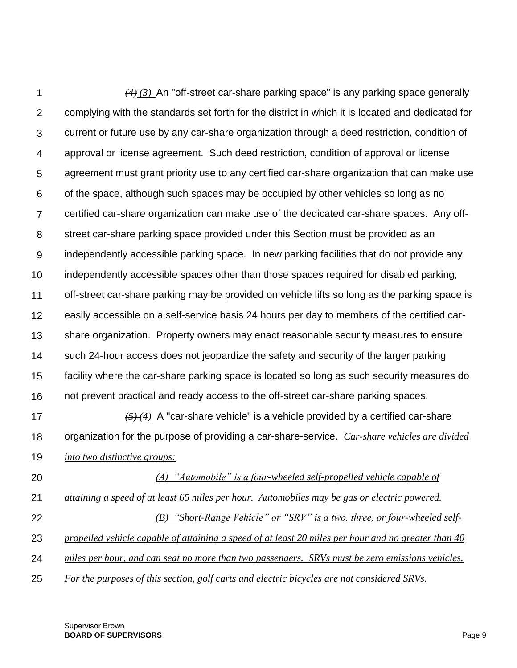1  $\mathcal{P}$ 3 4 5 6 7 8 9 10 11 12 13 14 15 16 17 18 19 20 21 *(4) (3)* An "off-street car-share parking space" is any parking space generally complying with the standards set forth for the district in which it is located and dedicated for current or future use by any car-share organization through a deed restriction, condition of approval or license agreement. Such deed restriction, condition of approval or license agreement must grant priority use to any certified car-share organization that can make use of the space, although such spaces may be occupied by other vehicles so long as no certified car-share organization can make use of the dedicated car-share spaces. Any offstreet car-share parking space provided under this Section must be provided as an independently accessible parking space. In new parking facilities that do not provide any independently accessible spaces other than those spaces required for disabled parking, off-street car-share parking may be provided on vehicle lifts so long as the parking space is easily accessible on a self-service basis 24 hours per day to members of the certified carshare organization. Property owners may enact reasonable security measures to ensure such 24-hour access does not jeopardize the safety and security of the larger parking facility where the car-share parking space is located so long as such security measures do not prevent practical and ready access to the off-street car-share parking spaces. *(5) (4)* A "car-share vehicle" is a vehicle provided by a certified car-share organization for the purpose of providing a car-share-service. *Car-share vehicles are divided into two distinctive groups: (A) "Automobile" is a four-wheeled self-propelled vehicle capable of attaining a speed of at least 65 miles per hour. Automobiles may be gas or electric powered.*

22 23 *(B) "Short-Range Vehicle" or "SRV" is a two, three, or four-wheeled selfpropelled vehicle capable of attaining a speed of at least 20 miles per hour and no greater than 40* 

24 *miles per hour, and can seat no more than two passengers. SRVs must be zero emissions vehicles.* 

25 *For the purposes of this section, golf carts and electric bicycles are not considered SRVs.*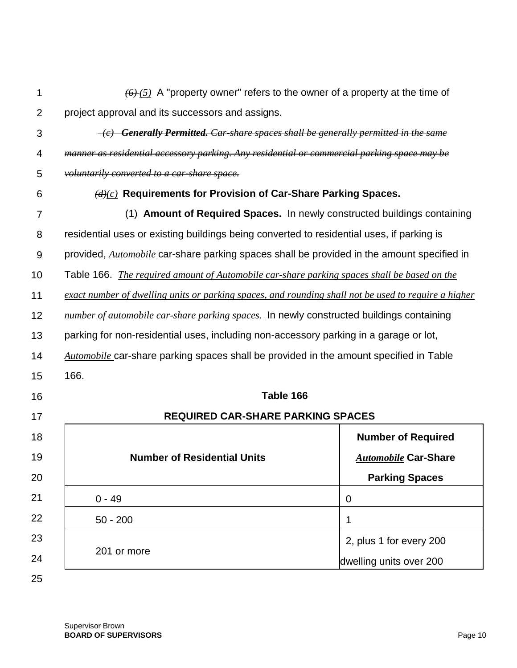| 1              | $\overline{(6)}$ (5) A "property owner" refers to the owner of a property at the time of             |                             |
|----------------|------------------------------------------------------------------------------------------------------|-----------------------------|
| $\overline{2}$ | project approval and its successors and assigns.                                                     |                             |
| 3              | $\overline{-(e)}$ Generally Permitted. Car-share spaces shall be generally permitted in the same     |                             |
| 4              | manner as residential accessory parking. Any residential or commercial parking space may be          |                             |
| 5              | voluntarily converted to a car-share space.                                                          |                             |
| 6              | $(d)(c)$ Requirements for Provision of Car-Share Parking Spaces.                                     |                             |
| 7              | (1) Amount of Required Spaces. In newly constructed buildings containing                             |                             |
| 8              | residential uses or existing buildings being converted to residential uses, if parking is            |                             |
| 9              | provided, <i>Automobile</i> car-share parking spaces shall be provided in the amount specified in    |                             |
| 10             | Table 166. <i>The required amount of Automobile car-share parking spaces shall be based on the</i>   |                             |
| 11             | exact number of dwelling units or parking spaces, and rounding shall not be used to require a higher |                             |
| 12             | number of automobile car-share parking spaces. In newly constructed buildings containing             |                             |
| 13             | parking for non-residential uses, including non-accessory parking in a garage or lot,                |                             |
| 14             | <b>Automobile</b> car-share parking spaces shall be provided in the amount specified in Table        |                             |
| 15             | 166.                                                                                                 |                             |
| 16             | Table 166                                                                                            |                             |
| 17             | <b>REQUIRED CAR-SHARE PARKING SPACES</b>                                                             |                             |
| 18             |                                                                                                      | <b>Number of Required</b>   |
| 19             | <b>Number of Residential Units</b>                                                                   | <b>Automobile Car-Share</b> |
| 20             |                                                                                                      | <b>Parking Spaces</b>       |
| 21             | $0 - 49$                                                                                             | 0                           |
| 22             | $50 - 200$                                                                                           | 1                           |
| 23             | 201 or more                                                                                          | 2, plus 1 for every 200     |
| 24             |                                                                                                      | dwelling units over 200     |
| 25             |                                                                                                      |                             |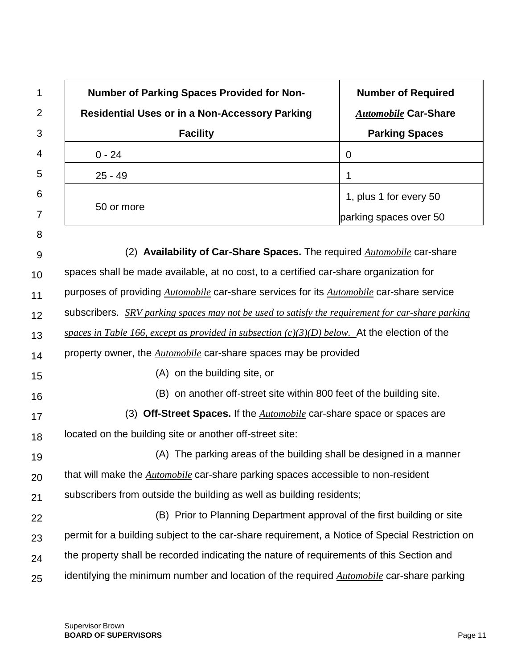| 1              | <b>Number of Parking Spaces Provided for Non-</b>                                                       | <b>Number of Required</b>   |
|----------------|---------------------------------------------------------------------------------------------------------|-----------------------------|
| $\overline{2}$ | <b>Residential Uses or in a Non-Accessory Parking</b>                                                   | <b>Automobile Car-Share</b> |
| 3              | <b>Facility</b>                                                                                         | <b>Parking Spaces</b>       |
| 4              | $0 - 24$                                                                                                | $\mathbf 0$                 |
| 5              | $25 - 49$                                                                                               | 1                           |
| 6              |                                                                                                         | 1, plus 1 for every 50      |
| 7              | 50 or more                                                                                              | parking spaces over 50      |
| 8              |                                                                                                         |                             |
| 9              | (2) Availability of Car-Share Spaces. The required Automobile car-share                                 |                             |
| 10             | spaces shall be made available, at no cost, to a certified car-share organization for                   |                             |
| 11             | purposes of providing <i>Automobile</i> car-share services for its <i>Automobile</i> car-share service  |                             |
| 12             | subscribers. <i>SRV parking spaces may not be used to satisfy the requirement for car-share parking</i> |                             |
| 13             | spaces in Table 166, except as provided in subsection $(c)(3)(D)$ below. At the election of the         |                             |
| 14             | property owner, the <b><i>Automobile</i></b> car-share spaces may be provided                           |                             |
| 15             | (A) on the building site, or                                                                            |                             |
| 16             | (B) on another off-street site within 800 feet of the building site.                                    |                             |
| 17             | (3) Off-Street Spaces. If the Automobile car-share space or spaces are                                  |                             |
| 18             | located on the building site or another off-street site:                                                |                             |
| 19             | (A) The parking areas of the building shall be designed in a manner                                     |                             |
| 20             | that will make the <i>Automobile</i> car-share parking spaces accessible to non-resident                |                             |
| 21             | subscribers from outside the building as well as building residents;                                    |                             |
| 22             | (B) Prior to Planning Department approval of the first building or site                                 |                             |
| 23             | permit for a building subject to the car-share requirement, a Notice of Special Restriction on          |                             |
| 24             | the property shall be recorded indicating the nature of requirements of this Section and                |                             |
| 25             | identifying the minimum number and location of the required <i>Automobile</i> car-share parking         |                             |

ī

 $\Gamma$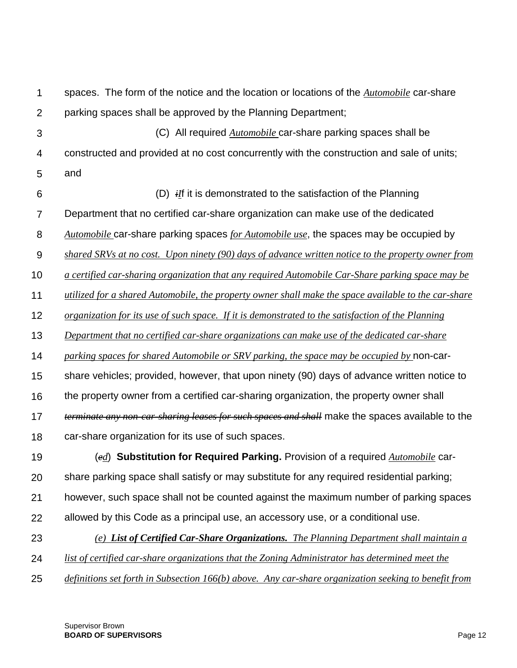1  $\mathcal{P}$ 3 4 5 6 7 8 9 10 11 12 13 14 15 16 17 18 19 20 21 22 23 24 25 spaces. The form of the notice and the location or locations of the *Automobile* car-share parking spaces shall be approved by the Planning Department; (C) All required *Automobile* car-share parking spaces shall be constructed and provided at no cost concurrently with the construction and sale of units; and (D) *iI*f it is demonstrated to the satisfaction of the Planning Department that no certified car-share organization can make use of the dedicated *Automobile* car-share parking spaces *for Automobile use*, the spaces may be occupied by *shared SRVs at no cost. Upon ninety (90) days of advance written notice to the property owner from a certified car-sharing organization that any required Automobile Car-Share parking space may be utilized for a shared Automobile, the property owner shall make the space available to the car-share organization for its use of such space. If it is demonstrated to the satisfaction of the Planning Department that no certified car-share organizations can make use of the dedicated car-share parking spaces for shared Automobile or SRV parking, the space may be occupied by* non-carshare vehicles; provided, however, that upon ninety (90) days of advance written notice to the property owner from a certified car-sharing organization, the property owner shall *terminate any non-car-sharing leases for such spaces and shall* make the spaces available to the car-share organization for its use of such spaces. (*ed*) **Substitution for Required Parking.** Provision of a required *Automobile* carshare parking space shall satisfy or may substitute for any required residential parking; however, such space shall not be counted against the maximum number of parking spaces allowed by this Code as a principal use, an accessory use, or a conditional use. *(e) List of Certified Car-Share Organizations. The Planning Department shall maintain a list of certified car-share organizations that the Zoning Administrator has determined meet the definitions set forth in Subsection 166(b) above. Any car-share organization seeking to benefit from*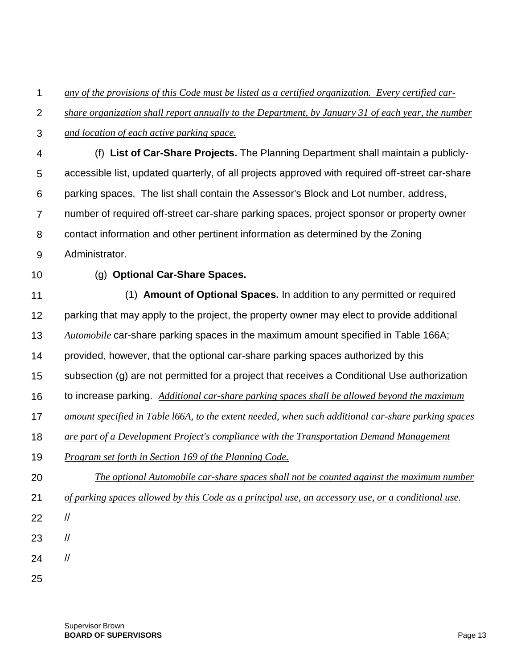1 *any of the provisions of this Code must be listed as a certified organization. Every certified car-*

 $\mathcal{P}$ *share organization shall report annually to the Department, by January 31 of each year, the number* 

3 *and location of each active parking space.*

4 5 6 7 8 9 (f) **List of Car-Share Projects.** The Planning Department shall maintain a publiclyaccessible list, updated quarterly, of all projects approved with required off-street car-share parking spaces. The list shall contain the Assessor's Block and Lot number, address, number of required off-street car-share parking spaces, project sponsor or property owner contact information and other pertinent information as determined by the Zoning Administrator.

10

## (g) **Optional Car-Share Spaces.**

11 12 13 14 15 16 17 18 19 20 21 22 23 24 (1) **Amount of Optional Spaces.** In addition to any permitted or required parking that may apply to the project, the property owner may elect to provide additional *Automobile* car-share parking spaces in the maximum amount specified in [Table 166A;](http://library.amlegal.com/nxt/gateway.dll?f=jumplink$jumplink_x=Advanced$jumplink_vpc=first$jumplink_xsl=querylink.xsl$jumplink_sel=title;path;content-type;home-title;item-bookmark$jumplink_d=california(planning)$jumplink_q=%5bfield%20folio-destination-name:) provided, however, that the optional car-share parking spaces authorized by this subsection (g) are not permitted for a project that receives a Conditional Use authorization to increase parking. *Additional car-share parking spaces shall be allowed beyond the maximum amount specified in Table l66A, to the extent needed, when such additional car-share parking spaces are part of a Development Project's compliance with the Transportation Demand Management Program set forth in Section 169 of the Planning Code. The optional Automobile car-share spaces shall not be counted against the maximum number of parking spaces allowed by this Code as a principal use, an accessory use, or a conditional use.* // // //

25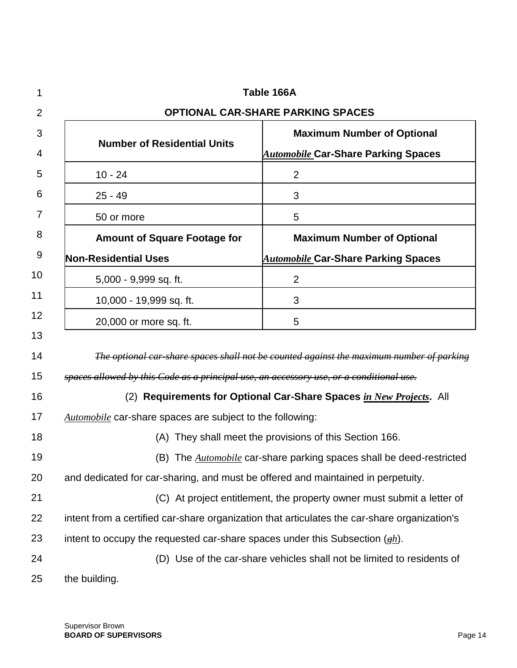| 1        | Table 166A                                                                              |                                                                                                     |  |
|----------|-----------------------------------------------------------------------------------------|-----------------------------------------------------------------------------------------------------|--|
| 2        | <b>OPTIONAL CAR-SHARE PARKING SPACES</b>                                                |                                                                                                     |  |
| 3        |                                                                                         | <b>Maximum Number of Optional</b>                                                                   |  |
| 4        | <b>Number of Residential Units</b>                                                      | <u> <i>Automobile</i> C</u> ar-Share Parking Spaces                                                 |  |
| 5        | $10 - 24$                                                                               | $\overline{2}$                                                                                      |  |
| 6        | $25 - 49$                                                                               | 3                                                                                                   |  |
| 7        | 50 or more                                                                              | 5                                                                                                   |  |
| 8        | <b>Amount of Square Footage for</b>                                                     | <b>Maximum Number of Optional</b>                                                                   |  |
| 9        | <b>Non-Residential Uses</b>                                                             | <b>Automobile Car-Share Parking Spaces</b>                                                          |  |
| 10       | 5,000 - 9,999 sq. ft.                                                                   | $\overline{2}$                                                                                      |  |
| 11       | 10,000 - 19,999 sq. ft.                                                                 | 3                                                                                                   |  |
| 12       | 20,000 or more sq. ft.                                                                  | 5                                                                                                   |  |
| 13<br>14 |                                                                                         | The optional car share spaces shall not be counted against the maximum number of parking            |  |
| 15       | spaces allowed by this Code as a principal use, an accessory use, or a conditional use. |                                                                                                     |  |
| 16       | (2) Requirements for Optional Car-Share Spaces in New Projects. All                     |                                                                                                     |  |
| 17       | Automobile car-share spaces are subject to the following:                               |                                                                                                     |  |
| 18       | (A) They shall meet the provisions of this Section 166.                                 |                                                                                                     |  |
| 19       |                                                                                         | (B) The <i>Automobile</i> car-share parking spaces shall be deed-restricted                         |  |
| 20       | and dedicated for car-sharing, and must be offered and maintained in perpetuity.        |                                                                                                     |  |
| 21       |                                                                                         | (C) At project entitlement, the property owner must submit a letter of                              |  |
| 22       |                                                                                         | intent from a certified car-share organization that articulates the car-share organization's        |  |
| 23       |                                                                                         | intent to occupy the requested car-share spaces under this Subsection $\left(\frac{eh}{h}\right)$ . |  |
| 24       |                                                                                         | (D) Use of the car-share vehicles shall not be limited to residents of                              |  |
| 25       | the building.                                                                           |                                                                                                     |  |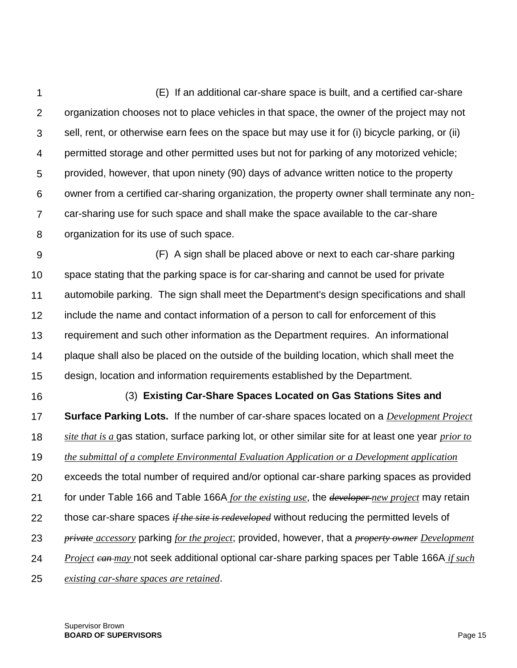1  $\mathcal{P}$ 3 4 5 6 7 8 (E) If an additional car-share space is built, and a certified car-share organization chooses not to place vehicles in that space, the owner of the project may not sell, rent, or otherwise earn fees on the space but may use it for (i) bicycle parking, or (ii) permitted storage and other permitted uses but not for parking of any motorized vehicle; provided, however, that upon ninety (90) days of advance written notice to the property owner from a certified car-sharing organization, the property owner shall terminate any noncar-sharing use for such space and shall make the space available to the car-share organization for its use of such space.

9 10 11 12 13 14 15 (F) A sign shall be placed above or next to each car-share parking space stating that the parking space is for car-sharing and cannot be used for private automobile parking. The sign shall meet the Department's design specifications and shall include the name and contact information of a person to call for enforcement of this requirement and such other information as the Department requires. An informational plaque shall also be placed on the outside of the building location, which shall meet the design, location and information requirements established by the Department.

16 17 18 19 20 21 22 23 24 25 (3) **Existing Car-Share Spaces Located on Gas Stations Sites and Surface Parking Lots.** If the number of car-share spaces located on a *Development Project site that is a* gas station, surface parking lot, or other similar site for at least one year *prior to the submittal of a complete Environmental Evaluation Application or a Development application*  exceeds the total number of required and/or optional car-share parking spaces as provided for under Table 166 and Table 166A *for the existing use*, the *developer new project* may retain those car-share spaces *if the site is redeveloped* without reducing the permitted levels of *private accessory* parking *for the project*; provided, however, that a *property owner Development Project can may* not seek additional optional car-share parking spaces per Table 166A *if such existing car-share spaces are retained*.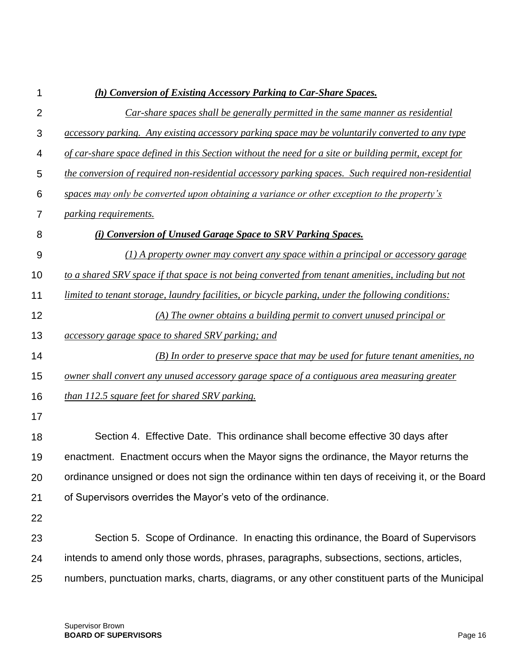| 1              | (h) Conversion of Existing Accessory Parking to Car-Share Spaces.                                     |
|----------------|-------------------------------------------------------------------------------------------------------|
| $\overline{2}$ | Car-share spaces shall be generally permitted in the same manner as residential                       |
| 3              | accessory parking. Any existing accessory parking space may be voluntarily converted to any type      |
| 4              | of car-share space defined in this Section without the need for a site or building permit, except for |
| 5              | the conversion of required non-residential accessory parking spaces. Such required non-residential    |
| 6              | spaces may only be converted upon obtaining a variance or other exception to the property's           |
| 7              | parking requirements.                                                                                 |
| 8              | (i) Conversion of Unused Garage Space to SRV Parking Spaces.                                          |
| 9              | $(1)$ A property owner may convert any space within a principal or accessory garage                   |
| 10             | to a shared SRV space if that space is not being converted from tenant amenities, including but not   |
| 11             | limited to tenant storage, laundry facilities, or bicycle parking, under the following conditions:    |
| 12             | (A) The owner obtains a building permit to convert unused principal or                                |
| 13             | accessory garage space to shared SRV parking; and                                                     |
| 14             | $(B)$ In order to preserve space that may be used for future tenant amenities, no                     |
| 15             | owner shall convert any unused accessory garage space of a contiguous area measuring greater          |
| 16             | than 112.5 square feet for shared SRV parking.                                                        |
| 17             |                                                                                                       |
| 18             | Section 4. Effective Date. This ordinance shall become effective 30 days after                        |
| 19             | enactment. Enactment occurs when the Mayor signs the ordinance, the Mayor returns the                 |
| 20             | ordinance unsigned or does not sign the ordinance within ten days of receiving it, or the Board       |
| 21             | of Supervisors overrides the Mayor's veto of the ordinance.                                           |
| 22             |                                                                                                       |
| 23             | Section 5. Scope of Ordinance. In enacting this ordinance, the Board of Supervisors                   |
| 24             | intends to amend only those words, phrases, paragraphs, subsections, sections, articles,              |
| 25             | numbers, punctuation marks, charts, diagrams, or any other constituent parts of the Municipal         |